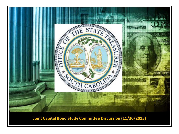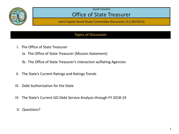

## Office of State Treasurer

Joint Capital Bond Study Committee Discussion (11/30/2015)

### Topics of Discussion

- I. The Office of State Treasurer)
	- Ia. The Office of State Treasurer (Mission Statement))
	- Ib. The Office of State Treasurer's Interaction w/Rating Agencies
- II. The State's Current Ratings and Ratings Trends
- III. Debt Authorization for the State
- IV. The State's Current GO Debt Service Analysis through FY 2018-19
- V. Questions?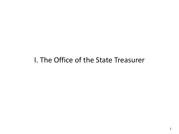# I. The Office of the State Treasurer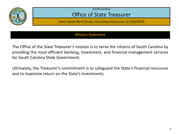

## Office of State Treasurer

Joint Capital Bond Study Committee Discussion (11/30/2015)

#### Mission Statement

The Office of the State Treasurer's mission is to serve the citizens of South Carolina by providing the most efficient banking, investment, and financial management services for South Carolina State Government.

Ultimately, the Treasurer's commitment is to safeguard the State's financial resources and to maximize return on the State's investments.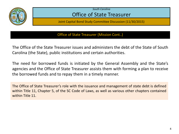

## Office of State Treasurer

Joint Capital Bond Study Committee Discussion (11/30/2015)

Office of State Treasurer (Mission Cont..)

The Office of the State Treasurer issues and administers the debt of the State of South Carolina (the State), public institutions and certain authorities.

The need for borrowed funds is initiated by the General Assembly and the State's agencies and the Office of State Treasurer assists them with forming a plan to receive the borrowed funds and to repay them in a timely manner.

The Office of State Treasurer's role with the issuance and management of state debt is defined within Title 11, Chapter 5, of the SC Code of Laws, as well as various other chapters contained within Title 11.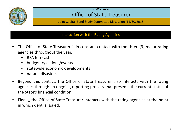

## Office of State Treasurer

Joint Capital Bond Study Committee Discussion (11/30/2015)

#### Interaction with the Rating Agencies

- The Office of State Treasurer is in constant contact with the three (3) major rating agencies throughout the year.
	- BEA forecasts
	- budgetary actions/events
	- statewide economic developments
	- natural disasters
- Beyond this contact, the Office of State Treasurer also interacts with the rating agencies through an ongoing reporting process that presents the current status of the State's financial condition.
- Finally, the Office of State Treasurer interacts with the rating agencies at the point in which debt is issued.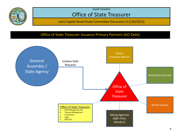

## Office of State Treasurer

Joint Capital Bond Study Committee Discussion (11/30/2015)

#### Office of State Treasurer Issuance Primary Partners (GO Debt)

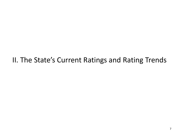# II. The State's Current Ratings and Rating Trends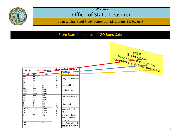

## Office of State Treasurer

Joint Capital Bond Study Committee Discussion (11/30/2015)

#### From State's most recent GO Bond Sale

|                    |                     |                      |                   |                                 | Fitch Ratings: AAA<br>Moody's Investors Service, Inc. Aaa |
|--------------------|---------------------|----------------------|-------------------|---------------------------------|-----------------------------------------------------------|
| Fitch              | S&P                 | Moody's              |                   | Rating grade description        |                                                           |
|                    |                     |                      |                   | (Moody's)                       |                                                           |
| AAA<br>AA+         | <b>AAA</b><br>$AA+$ | Aaa<br>Aa1           |                   | Minimal credit risk             |                                                           |
| ΑA                 | AA                  | Aa2                  |                   | Very low credit risk            |                                                           |
|                    | AA-                 | Aa3                  | Investment grade  |                                 |                                                           |
| $\frac{AA}{A^+}$   | $A+$                | A1                   |                   | Low credit risk                 |                                                           |
| А                  | Α                   | A <sub>2</sub>       |                   |                                 |                                                           |
| Ą.                 | $A_{\mathcal{T}}$   | A3                   |                   | Moderate credit<br><b>risk</b>  |                                                           |
| BBB+<br><b>BBB</b> | BBB+<br><b>BBB</b>  | Baa1<br>Baa2         |                   |                                 |                                                           |
| IBBB-              | BBB-                | Baa3                 |                   |                                 |                                                           |
| BB+                | BB+                 | Ba1                  |                   | Substantial credit              |                                                           |
| BB                 | <b>BB</b>           | Ba2                  |                   |                                 |                                                           |
| BB-                | BB-                 | Ba3                  |                   | risk                            |                                                           |
| ΤĐ+                | $\overline{B+}$     | $\overline{B1}$      |                   |                                 |                                                           |
| B<br>B-            | B<br>В-             | B2<br>B <sub>3</sub> |                   | High credit risk                |                                                           |
| $CCC +$            | $\overline{CCC+}$   | Caa1                 |                   |                                 |                                                           |
| $_{\rm ccc}$       | CCC                 | Caa2                 |                   | Very high credit                |                                                           |
| CCC-               | CCC-                | Caa3                 | Speculative grade | lrisk.                          |                                                           |
| $\overline{cc}$    | $_{\rm CC}$         | Ca                   |                   | In or near default,             |                                                           |
| C.                 | С                   |                      |                   | with possibility of<br>recovery |                                                           |
| <b>DDD</b>         | SD                  | ᠸ                    |                   | In default, with little         |                                                           |
| DD.<br>D.          | D.                  |                      |                   | chance of recovery              |                                                           |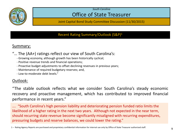

## Office of State Treasurer

Joint Capital Bond Study Committee Discussion (11/30/2015)

#### Recent Rating Summary/Outlook (S&P)1

### Summary:

- "… The (AA+) ratings reflect our view of South Carolina's:
	- Growing economy, although growth has been historically cyclical;
	- Positive revenue trends and financial operations;
	- Proactive budget adjustments to offset declining revenues in previous years;
	- Maintenance of required budgetary reserves; and,
	- Low-to-moderate debt levels."

## Outlook:

"The stable outlook reflects what we consider South Carolina's steady economic recovery and proactive management, which has contributed to improved financial performance in recent years."

…. "South Carolina's high pension liability and deteriorating pension funded ratio limits the likelihood of a higher rating in the next two years. Although not expected in the near term, should recurring state revenue become significantly misaligned with recurring expenditures, pressuring budgets and reserve balances, we could lower the rating."

<sup>1 –</sup> Rating Agency Reports are purchased and proprietary confidential information for internal use only by Office of State Treasurer authorized staff.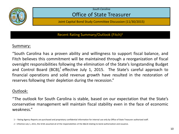

## Office of State Treasurer

Joint Capital Bond Study Committee Discussion (11/30/2015)

Recent Rating Summary/Outlook (Fitch)1

#### Summary:

"South Carolina has a proven ability and willingness to support fiscal balance, and Fitch believes this commitment will be maintained through a reorganization of fiscal oversight responsibilities following the elimination of the State's longstanding Budget and Control Board (BCB), effective July 1, 2015. The State's careful approach to financial operations and solid revenue growth have resulted in the restoration of reserves following their depletion during the recession."

### Outlook:

"The outlook for South Carolina is stable, based on our expectation that the State's conservative management will maintain fiscal stability even in the face of economic weakness."

<sup>1 –</sup> Rating Agency Reports are purchased and proprietary confidential information for internal use only by Office of State Treasurer authorized staff.

<sup>2 –</sup> Effective July 1, 2015, the SFAA assumed all of the responsibilities of the B&CB relating to bond authorization and issuance.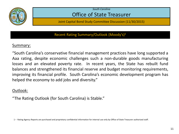

## Office of State Treasurer

Joint Capital Bond Study Committee Discussion (11/30/2015)

Recent Rating Summary/Outlook (Moody's)1

### Summary:

"South Carolina's conservative financial management practices have long supported a Aaa rating, despite economic challenges such a non-durable goods manufacturing losses and an elevated poverty rate. In recent years, the State has rebuilt fund balances and strengthened its financial reserve and budget monitoring requirements, improving its financial profile. South Carolina's economic development program has helped the economy to add jobs and diversity."

## Outlook:

"The Rating Outlook (for South Carolina) is Stable."

<sup>1 –</sup> Rating Agency Reports are purchased and proprietary confidential information for internal use only by Office of State Treasurer authorized staff.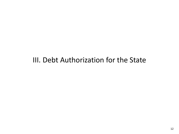# III. Debt Authorization for the State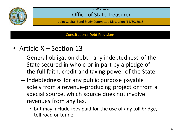

## Office of State Treasurer

Joint Capital Bond Study Committee Discussion (11/30/2015)

#### Constitutional Debt Provisions

- Article  $X -$  Section 13
	- General obligation debt any indebtedness of the State secured in whole or in part by a pledge of the full faith, credit and taxing power of the State.
	- Indebtedness for any public purpose payable solely from a revenue-producing project or from a special source, which source does not involve revenues from any tax.
		- but may include fees paid for the use of any toll bridge, toll road or tunnel.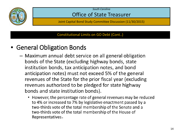

## Office of State Treasurer

Joint Capital Bond Study Committee Discussion (11/30/2015)

Constitutional Limits on GO Debt (Cont..)

# • General Obligation Bonds

- Maximum annual debt service on all general obligation bonds of the State (excluding highway bonds, state institution bonds, tax anticipation notes, and bond anticipation notes) must not exceed 5% of the general revenues of the State for the prior fiscal year (excluding revenues authorized to be pledged for state highway bonds and state institution bonds).
	- However, the percentage rate of general revenues may be reduced to 4% or increased to 7% by legislative enactment passed by a two-thirds vote of the total membership of the Senate and a two-thirds vote of the total membership of the House of Representatives.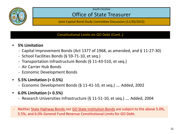

## Office of State Treasurer

Joint Capital Bond Study Committee Discussion (11/30/2015)

### Constitutional Limits on GO Debt (Cont..)

- **5% Limitation**
	- Capital Improvement Bonds (Act 1377 of 1968, as amended, and § 11-27-30)
	- School Facilities Bonds (§ 59-71-10, et seq.)
	- Transportation Infrastructure Bonds (§ 11-43-510, et seq.)
	- Air Carrier Hub Bonds
	- Economic Development Bonds
- **5.5% Limitation (+ 0.5%)**
	- Economic Development Bonds (§ 11-41-10, et seq.) …. Added, 2002
- **6.0% Limitation (+ 0.5%)**
	- Research Universities Infrastructure (§ 11-51-10, et seq.) …. Added, 2004
- Neither State Highway Bonds nor GO State Institution Bonds are subject to the above 5.0%, 5.5%, and 6.0% General Fund Revenue Constitutional Limits for GO Debt.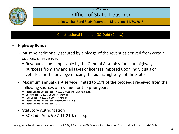

## Office of State Treasurer

Joint Capital Bond Study Committee Discussion (11/30/2015)

### Constitutional Limits on GO Debt (Cont..)

- **Highway Bonds1**
	- Must be additionally secured by a pledge of the revenues derived from certain sources of revenue.
		- Revenues made applicable by the General Assembly for state highway purposes from any and all taxes or licenses imposed upon individuals or vehicles for the privilege of using the public highways of the State.
	- Maximum annual debt service limited to 15% of the proceeds received from the following sources of revenue for the prior year:
		- o Motor Vehicle License Fees (FY 2012-13 General Fund Revenues)
		- o Gasoline Tax (FY 2012-13 Other Revenues)
		- o Fuel Oil Tax (FY 2012-13 Other Revenues)
		- o Motor Vehicle License Fees (Infrastructure Bank)
		- o Motor Vehicle License Fees (SCDOT)
	- Statutory Authorization
		- SC Code Ann. § 57-11-210, et seq.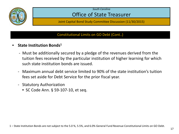

## Office of State Treasurer

Joint Capital Bond Study Committee Discussion (11/30/2015)

### Constitutional Limits on GO Debt (Cont..)

- **State Institution Bonds1**
	- Must be additionally secured by a pledge of the revenues derived from the tuition fees received by the particular institution of higher learning for which such state institution bonds are issued.
	- Maximum annual debt service limited to 90% of the state institution's tuition fees set aside for Debt Service for the prior fiscal year.
	- Statutory Authorization
		- SC Code Ann. § 59-107-10, et seq.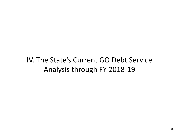# IV. The State's Current GO Debt Service Analysis through FY 2018-19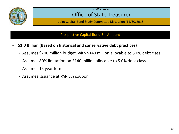

## Office of State Treasurer

Joint Capital Bond Study Committee Discussion (11/30/2015)

#### Prospective Capital Bond Bill Amount

- **\$1.0 Billion (Based on historical and conservative debt practices)** 
	- Assumes \$200 million budget, with \$140 million allocable to 5.0% debt class.
	- Assumes 80% limitation on \$140 million allocable to 5.0% debt class.
	- Assumes 15 year term.
	- Assumes issuance at PAR 5% coupon.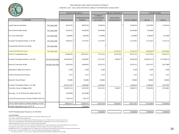

#### PRELIMINARY DEBT SERVICE BUDGET ESTIMATE EXISTING LAW - EXCLUDES POTENTIAL IMPACT OF PROPOSED LEGISLATION

|                                                       | <b>FISCAL YEAR 2015-16</b> |                     | FISCAL YEAR 2016-17            |                                    |                                      | <b>FUTURE YEARS</b> |               |               |
|-------------------------------------------------------|----------------------------|---------------------|--------------------------------|------------------------------------|--------------------------------------|---------------------|---------------|---------------|
|                                                       |                            |                     |                                | <b>CURRENT</b>                     |                                      |                     |               |               |
| <b>CATEGORY</b>                                       |                            | <b>APPROPRIATED</b> | APPROPRIATION<br><b>NEEDED</b> | <b>OUTSTANDING</b><br>(AT 6/30/15) | <b>NEW ISSUES</b><br>(AFTER 6/30/15) | <b>TOTAL NEEDED</b> | 2017-18       | 2018-19       |
|                                                       |                            |                     |                                |                                    |                                      |                     |               |               |
| Capital Improvement Bonds                             | 5% Const Limit             | 49,343,728          | 48,091,650                     | 35,286,250                         |                                      | 35,286,250          | 23,529,500    | 15,226,250    |
| <b>State School Facilities Bonds</b>                  | 5% Const Limit             | 57,992,525          | 44,266,500                     | 20,534,000                         |                                      | 20,534,000          | 8,736,000     |               |
| Air Carrier Hub Bonds                                 | 5% Const Limit             | 4,308,400           | 4,209,200                      | 4,178,000                          |                                      | 4,178,000           | 4,148,200     | 4,129,600     |
| Economic Development Bonds 11-41-50C                  | 5% Const Limit             | 10,420,132          | 13,178,167                     | 13,113,875                         |                                      | 13,113,875          | 13,113,625    | 13,115,125    |
| Transportation Infrastructure Bonds                   | 5% Const Limit             |                     |                                |                                    |                                      |                     |               |               |
| Capital Bond Bill Debt Service                        | 5% Const Limit             |                     |                                |                                    | 25,101,250                           | 25,101,250          | 64,944,500    | 82,031,000    |
| Total 5% Constitutional Limit                         |                            | 122,064,785         | 109,745,517                    | 73,112,125                         | 25,101,250                           | 98,213,375          | 114,471,825   | 114,501,975   |
| Economic Development Bonds 11-41-50A                  | .5%/5.5% Stat Limit        | 18,159,394.38       | 22,965,883                     | 22,517,031                         | 3,928,257                            | 26,445,289          | 26,449,763.25 | 27,739,360.14 |
| Research Universities Bonds                           | .5%/6.0% Stat Limit        | 24,220,344          | 24,608,436                     | 20,355,313                         |                                      | 20,355,313          | 20,251,475    | 20,273,800    |
| Agricultural College Stock-Interest                   |                            | 11,508              | 11,508                         | 11,508                             |                                      | 11,508              | 11,508        | 11,508        |
| Clemson Perpetual Stock-Interest                      |                            | 3.513               | 3,513                          | 3,513                              |                                      | 3,513               | 3.513         | 3,513         |
| Richard B. Russell Project                            |                            | 550,000             | 550,000                        | 550,000                            |                                      | 550,000             | 550,000       | 550,000       |
| Economic Development Bonds 11-41-50B                  |                            | 10,195,753.95       | 12,894,400                     | 12,693,650                         |                                      | 12,693,650          | 12,498,400    | 10,557,900    |
| Total other classes of budgeted debt                  |                            | 53,140,513.34       | 61,033,740                     | 56,131,015                         | 3,928,257                            | 60,059,272          | 59,764,659    | 59,136,081    |
| Recurring - Act H.4230 Section 1(B)(4) (2015-16)      |                            | 16,425,000          | 16,425,000                     |                                    |                                      |                     |               |               |
| Carried Forward pursuant to Proviso H4230.6 (2015-16) |                            | 17,201,319          | 7,201,319                      |                                    |                                      |                     |               |               |
| TOTAL DEBT SERVICE FROM GENERAL FUND                  |                            | 208,831,617         | 194,405,576                    | 129,243,140                        | 29,029,507                           | 158,272,647         | 174,236,484   | 173,638,056   |
| Potential Appropriation Lapse for FY 16               |                            |                     | 14,426,041                     |                                    |                                      |                     |               |               |

#### SCDOT Reimbursement Pursuant to Act 98 (2013) 50,000,000 - 50,000,000 50,000,000 50,000,000

#### Notes and Assumptions

<sup>1</sup> Final issuance of Capital Improvement Bonds (CIB) under current bond bill completed January, 2004.

<sup>2</sup> Fees, expenses and reimbursements included in CIB.

<sup>3</sup> Subject in part to 0.5% increase in debt limit; includes \$170 million issued pursuant to Act 124 (2009); all debt service paid from General Fund.

 $^4$  Issuance of up to \$53 million (\$70mm of \$123mm authorization previously funded via appropriation) for Volvo Cars Project funding in FY 2017.

<sup>5</sup> Additional appropriations used to pay down 0.5% Economic Development Bond Principal.

<sup>6</sup> New Issues (After 6/30/15) equates to debt service requirements on planned bond issues. Approved authorizations with currently unplanned issues are not forecasted.

<sup>7</sup> Prior appropriation allocated based on percentage of appropriation needed after separation of Economic Development Bond Classes.

<sup>8</sup> \$60 Million issued 2004. Per CG and Budget, no debt service budgeted since the General Fund will be reimbursed by the South Carolina Transportation Infrastructure Bank.

<sup>9</sup> Based on Issuance of Capital Bond Bill Fall of 2016 - PAR amount of approximately \$1 Billion (parameters outlined below).

1. 5% coupon issued at PAR, 2. 15 year term, and 3. Limited to 80% of allocable portion (\$140mm) of \$200mm Debt Service Budget.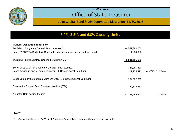

## Office of State Treasurer

Joint Capital Bond Study Committee Discussion (11/30/2015)

### 5.0%, 5.5%, and 6.0% Capacity Limits

| <b>General Obligation Bonds 5.0%</b><br>2013-2014 Budgetary General Fund revenues <sup>1</sup><br>Less: 2013-2014 Budgetary General Fund revenues pledged for highway bonds | \$6,552,390,000<br>11,234,000 |           |       |
|-----------------------------------------------------------------------------------------------------------------------------------------------------------------------------|-------------------------------|-----------|-------|
| '2013-2014 net Budgetary General Fund revenues                                                                                                                              | 6,541,156,000                 |           |       |
| 5% of 2013-2014 net Budgetary General Fund revenues<br>Less: maximum annual debt service for 5% Constitutional Debt Limit                                                   | 327,057,800<br>122,975,492    | 6/30/2016 | 1.88% |
| Legal Debt service margin at June 30, 2015--5% Constitutional Debt Limit                                                                                                    | 204,082,308                   |           |       |
| Reserve for General Fund Revenue Volatility (20%)                                                                                                                           | (40, 816, 462)                |           |       |
| Adjusted Debt service Marigin                                                                                                                                               | \$<br>163,265,847             |           | 4.38% |

Notes:

1 – Calculations based on FY 2013-14 Budgetary General Fund revenues, the most recent available.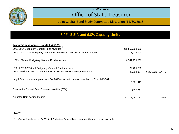

## Office of State Treasurer

Joint Capital Bond Study Committee Discussion (11/30/2015)

### 5.0%, 5.5%, and 6.0% Capacity Limits

| Economic Development Bonds 0.5%/5.5% 1                                                |                 |           |       |
|---------------------------------------------------------------------------------------|-----------------|-----------|-------|
| 2013-2014 Budgetary General Fund revenues                                             | \$6,552,390,000 |           |       |
| Less: 2013-2014 Budgetary General Fund revenues pledged for highway bonds             | 11,234,000      |           |       |
| '2013-2014 net Budgetary General Fund revenues                                        | 6,541,156,000   |           |       |
| .5% of 2013-2014 net Budgetary General Fund revenues                                  | 32,705,780      |           |       |
| Less: maximum annual debt service for .5% Economic Development Bonds.                 | 28,904,364      | 6/30/2023 | 0.44% |
| Legal Debt service margin at June 30, 2015--economic development bonds .5% 11-41-50A. |                 |           |       |
|                                                                                       | 3,801,417       |           |       |
| Reserve for General Fund Revenue Volatility (20%)                                     | (760, 283)      |           |       |
| Adjusted Debt service Marigin                                                         | 3,041,133       |           | 0.49% |

Notes:

1 – Calculations based on FY 2013-14 Budgetary General Fund revenues, the most recent available.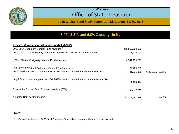

## Office of State Treasurer

Joint Capital Bond Study Committee Discussion (11/30/2015)

### 5.0%, 5.5%, and 6.0% Capacity Limits

| Research University Infrastructure Bonds 0.5%/6.0%                                        |                 |                 |       |
|-------------------------------------------------------------------------------------------|-----------------|-----------------|-------|
| 2013-2014 Budgetary General Fund revenues $1$                                             | \$6,552,390,000 |                 |       |
| Less: 2013-2014 Budgetary General Fund revenues pledged for highway bonds                 | 11,234,000      |                 |       |
| '2013-2014 net Budgetary General Fund revenues                                            | 6,541,156,000   |                 |       |
| .5% of 2013-2014 net Budgetary General Fund revenues                                      | 32,705,780      |                 |       |
| Less: maximum annual debt service for .5% research university infrastructure bonds.       | 21,521,356      | 6/30/2016 0.33% |       |
| Legal Debt service margin at June 30, 2015--research university infrastructure bonds .5%. |                 |                 |       |
|                                                                                           | 11,184,424      |                 |       |
| Reserve for General Fund Revenue Volatility (20%)                                         | (2, 236, 885)   |                 |       |
| Adjusted Debt service Marigin                                                             | 8,947,539       |                 | 0.47% |

#### Notes:

1 – Calculations based on FY 2013-14 Budgetary General Fund revenues, the most recent available.